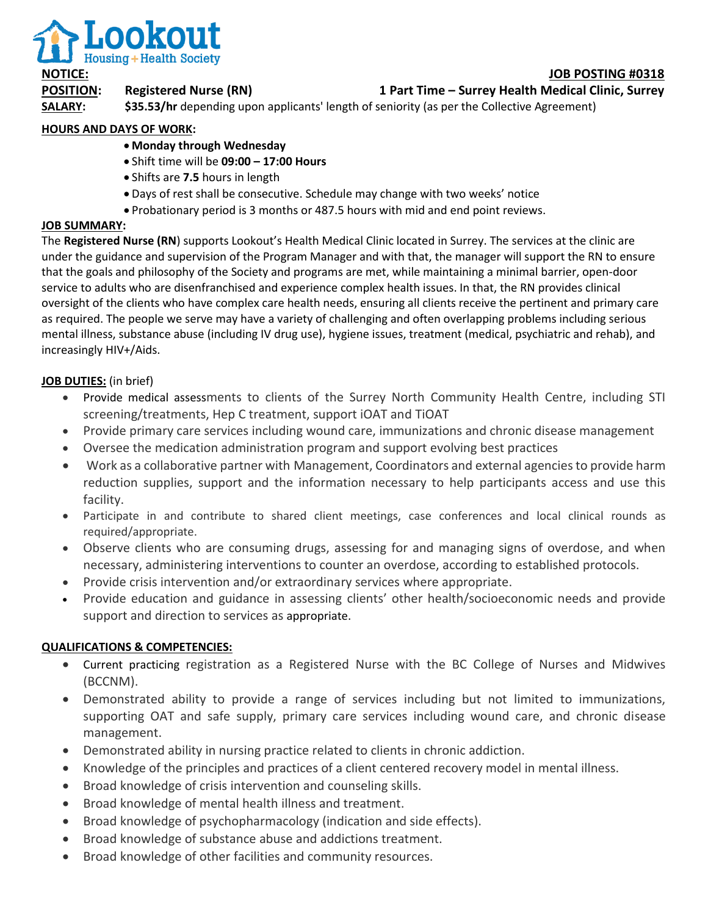

# **POSITION: Registered Nurse (RN) 1 Part Time – Surrey Health Medical Clinic, Surrey**

**SALARY:** \$35.53/hr depending upon applicants' length of seniority (as per the Collective Agreement)

## **HOURS AND DAYS OF WORK:**

- **Monday through Wednesday**
- Shift time will be **09:00 – 17:00 Hours**
- Shifts are **7.5** hours in length
- Days of rest shall be consecutive. Schedule may change with two weeks' notice
- Probationary period is 3 months or 487.5 hours with mid and end point reviews.

### **JOB SUMMARY:**

The **Registered Nurse (RN**) supports Lookout's Health Medical Clinic located in Surrey. The services at the clinic are under the guidance and supervision of the Program Manager and with that, the manager will support the RN to ensure that the goals and philosophy of the Society and programs are met, while maintaining a minimal barrier, open-door service to adults who are disenfranchised and experience complex health issues. In that, the RN provides clinical oversight of the clients who have complex care health needs, ensuring all clients receive the pertinent and primary care as required. The people we serve may have a variety of challenging and often overlapping problems including serious mental illness, substance abuse (including IV drug use), hygiene issues, treatment (medical, psychiatric and rehab), and increasingly HIV+/Aids.

## **JOB DUTIES:** (in brief)

- Provide medical assessments to clients of the Surrey North Community Health Centre, including STI screening/treatments, Hep C treatment, support iOAT and TiOAT
- Provide primary care services including wound care, immunizations and chronic disease management
- Oversee the medication administration program and support evolving best practices
- Work as a collaborative partner with Management, Coordinators and external agencies to provide harm reduction supplies, support and the information necessary to help participants access and use this facility.
- Participate in and contribute to shared client meetings, case conferences and local clinical rounds as required/appropriate.
- Observe clients who are consuming drugs, assessing for and managing signs of overdose, and when necessary, administering interventions to counter an overdose, according to established protocols.
- Provide crisis intervention and/or extraordinary services where appropriate.
- Provide education and guidance in assessing clients' other health/socioeconomic needs and provide support and direction to services as appropriate.

### **QUALIFICATIONS & COMPETENCIES:**

- Current practicing registration as a Registered Nurse with the BC College of Nurses and Midwives (BCCNM).
- Demonstrated ability to provide a range of services including but not limited to immunizations, supporting OAT and safe supply, primary care services including wound care, and chronic disease management.
- Demonstrated ability in nursing practice related to clients in chronic addiction.
- Knowledge of the principles and practices of a client centered recovery model in mental illness.
- Broad knowledge of crisis intervention and counseling skills.
- Broad knowledge of mental health illness and treatment.
- Broad knowledge of psychopharmacology (indication and side effects).
- Broad knowledge of substance abuse and addictions treatment.
- Broad knowledge of other facilities and community resources.